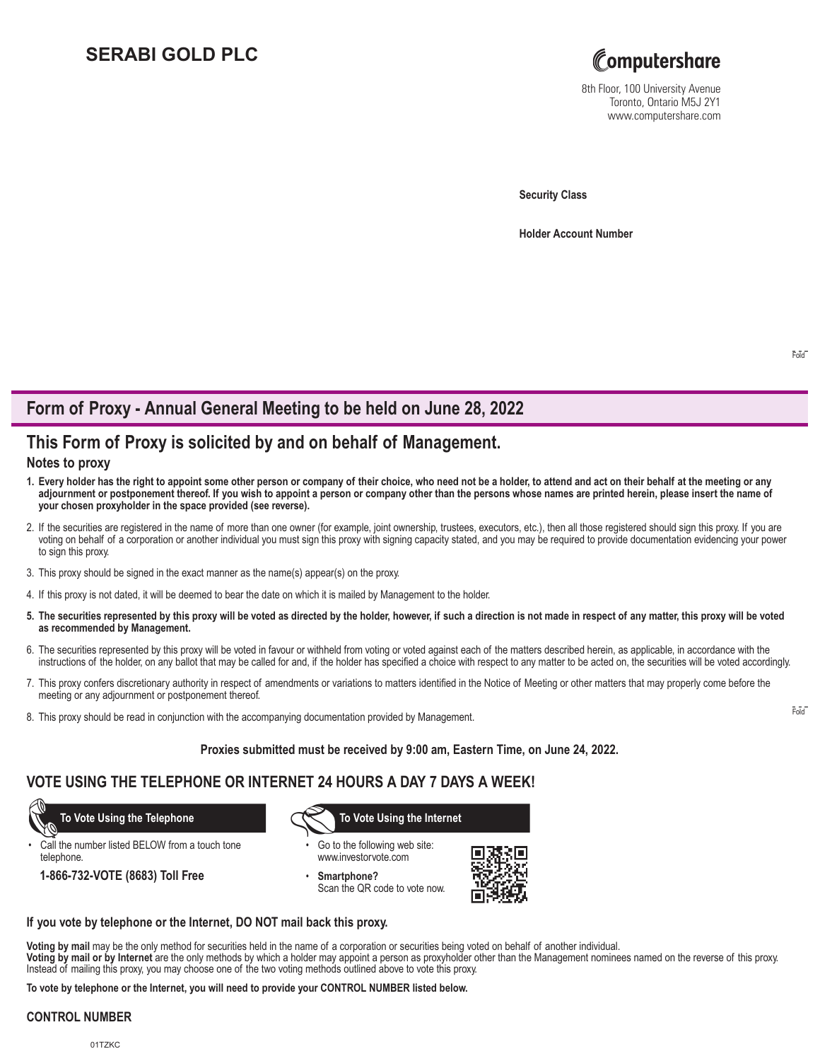# **SERABI GOLD PLC**



8th Floor, 100 University Avenue Toronto, Ontario M5J 2Y1 www.computershare.com

**Security Class**

**Holder Account Number** 

# **Form of Proxy - Annual General Meeting to be held on June 28, 2022**

## **This Form of Proxy is solicited by and on behalf of Management.**

### **Notes to proxy**

- **1. Every holder has the right to appoint some other person or company of their choice, who need not be a holder, to attend and act on their behalf at the meeting or any adjournment or postponement thereof. If you wish to appoint a person or company other than the persons whose names are printed herein, please insert the name of your chosen proxyholder in the space provided (see reverse).**
- 2. If the securities are registered in the name of more than one owner (for example, joint ownership, trustees, executors, etc.), then all those registered should sign this proxy. If you are voting on behalf of a corporation or another individual you must sign this proxy with signing capacity stated, and you may be required to provide documentation evidencing your power to sign this proxy.
- 3. This proxy should be signed in the exact manner as the name(s) appear(s) on the proxy.
- 4. If this proxy is not dated, it will be deemed to bear the date on which it is mailed by Management to the holder.
- **5. The securities represented by this proxy will be voted as directed by the holder, however, if such a direction is not made in respect of any matter, this proxy will be voted as recommended by Management.**
- 6. The securities represented by this proxy will be voted in favour or withheld from voting or voted against each of the matters described herein, as applicable, in accordance with the instructions of the holder, on any ballot that may be called for and, if the holder has specified a choice with respect to any matter to be acted on, the securities will be voted accordingly.
- 7. This proxy confers discretionary authority in respect of amendments or variations to matters identified in the Notice of Meeting or other matters that may properly come before the meeting or any adjournment or postponement thereof.
- 8. This proxy should be read in conjunction with the accompanying documentation provided by Management.

**Proxies submitted must be received by 9:00 am, Eastern Time, on June 24, 2022.**

## **VOTE USING THE TELEPHONE OR INTERNET 24 HOURS A DAY 7 DAYS A WEEK!**

Call the number listed BELOW from a touch tone telephone.

**1-866-732-VOTE (8683) Toll Free**

 **To Vote Using the Telephone To Vote Using the Internet**

- Go to the following web site: www.investorvote.com
- **Smartphone?** Scan the QR code to vote now.



### **If you vote by telephone or the Internet, DO NOT mail back this proxy.**

**Voting by mail** may be the only method for securities held in the name of a corporation or securities being voted on behalf of another individual.

**Voting by mail or by Internet** are the only methods by which a holder may appoint a person as proxyholder other than the Management nominees named on the reverse of this proxy. Instead of mailing this proxy, you may choose one of the two voting methods outlined above to vote this proxy.

**To vote by telephone or the Internet, you will need to provide your CONTROL NUMBER listed below.**

### **CONTROL NUMBER**